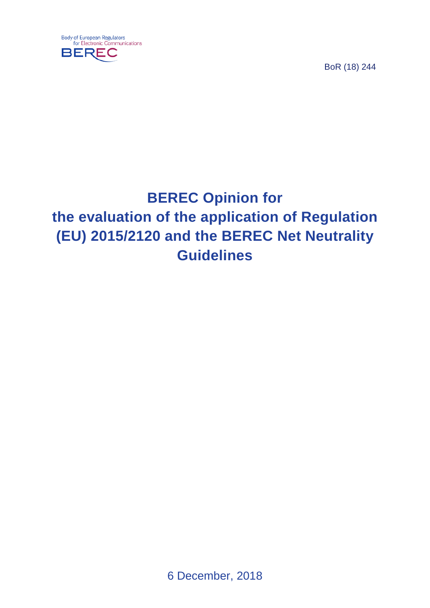



# **BEREC Opinion for the evaluation of the application of Regulation (EU) 2015/2120 and the BEREC Net Neutrality Guidelines**

6 December, 2018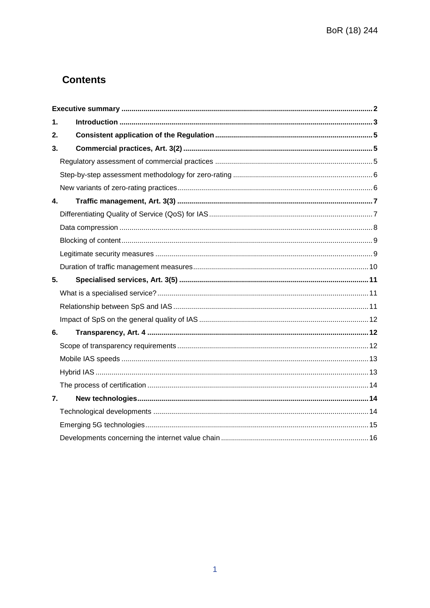# **Contents**

| 1. |  |
|----|--|
| 2. |  |
| 3. |  |
|    |  |
|    |  |
|    |  |
| 4. |  |
|    |  |
|    |  |
|    |  |
|    |  |
|    |  |
|    |  |
| 5. |  |
|    |  |
|    |  |
|    |  |
| 6. |  |
|    |  |
|    |  |
|    |  |
|    |  |
| 7. |  |
|    |  |
|    |  |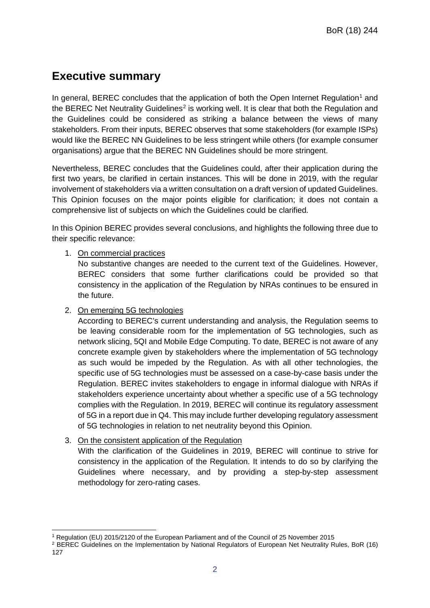# <span id="page-2-0"></span>**Executive summary**

In general, BEREC concludes that the application of both the Open Internet Regulation<sup>[1](#page-2-1)</sup> and the BEREC Net Neutrality Guidelines<sup>[2](#page-2-2)</sup> is working well. It is clear that both the Regulation and the Guidelines could be considered as striking a balance between the views of many stakeholders. From their inputs, BEREC observes that some stakeholders (for example ISPs) would like the BEREC NN Guidelines to be less stringent while others (for example consumer organisations) argue that the BEREC NN Guidelines should be more stringent.

Nevertheless, BEREC concludes that the Guidelines could, after their application during the first two years, be clarified in certain instances. This will be done in 2019, with the regular involvement of stakeholders via a written consultation on a draft version of updated Guidelines. This Opinion focuses on the major points eligible for clarification; it does not contain a comprehensive list of subjects on which the Guidelines could be clarified.

In this Opinion BEREC provides several conclusions, and highlights the following three due to their specific relevance:

#### 1. On commercial practices

No substantive changes are needed to the current text of the Guidelines. However, BEREC considers that some further clarifications could be provided so that consistency in the application of the Regulation by NRAs continues to be ensured in the future.

#### 2. On emerging 5G technologies

According to BEREC's current understanding and analysis, the Regulation seems to be leaving considerable room for the implementation of 5G technologies, such as network slicing, 5QI and Mobile Edge Computing. To date, BEREC is not aware of any concrete example given by stakeholders where the implementation of 5G technology as such would be impeded by the Regulation. As with all other technologies, the specific use of 5G technologies must be assessed on a case-by-case basis under the Regulation. BEREC invites stakeholders to engage in informal dialogue with NRAs if stakeholders experience uncertainty about whether a specific use of a 5G technology complies with the Regulation. In 2019, BEREC will continue its regulatory assessment of 5G in a report due in Q4. This may include further developing regulatory assessment of 5G technologies in relation to net neutrality beyond this Opinion.

#### 3. On the consistent application of the Regulation

With the clarification of the Guidelines in 2019, BEREC will continue to strive for consistency in the application of the Regulation. It intends to do so by clarifying the Guidelines where necessary, and by providing a step-by-step assessment methodology for zero-rating cases.

 <sup>1</sup> Regulation (EU) 2015/2120 of the European Parliament and of the Council of 25 November 2015

<span id="page-2-2"></span><span id="page-2-1"></span><sup>&</sup>lt;sup>2</sup> BEREC Guidelines on the Implementation by National Regulators of European Net Neutrality Rules, BoR (16) 127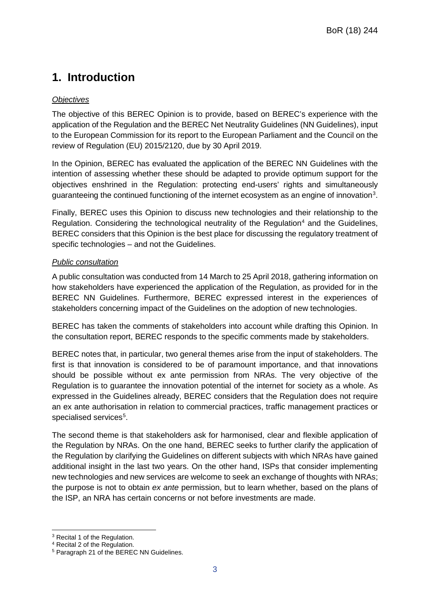# <span id="page-3-0"></span>**1. Introduction**

#### *Objectives*

The objective of this BEREC Opinion is to provide, based on BEREC's experience with the application of the Regulation and the BEREC Net Neutrality Guidelines (NN Guidelines), input to the European Commission for its report to the European Parliament and the Council on the review of Regulation (EU) 2015/2120, due by 30 April 2019.

In the Opinion, BEREC has evaluated the application of the BEREC NN Guidelines with the intention of assessing whether these should be adapted to provide optimum support for the objectives enshrined in the Regulation: protecting end-users' rights and simultaneously guaranteeing the continued functioning of the internet ecosystem as an engine of innovation<sup>[3](#page-3-1)</sup>.

Finally, BEREC uses this Opinion to discuss new technologies and their relationship to the Regulation. Considering the technological neutrality of the Regulation<sup>[4](#page-3-2)</sup> and the Guidelines, BEREC considers that this Opinion is the best place for discussing the regulatory treatment of specific technologies – and not the Guidelines.

#### *Public consultation*

A public consultation was conducted from 14 March to 25 April 2018, gathering information on how stakeholders have experienced the application of the Regulation, as provided for in the BEREC NN Guidelines. Furthermore, BEREC expressed interest in the experiences of stakeholders concerning impact of the Guidelines on the adoption of new technologies.

BEREC has taken the comments of stakeholders into account while drafting this Opinion. In the consultation report, BEREC responds to the specific comments made by stakeholders.

BEREC notes that, in particular, two general themes arise from the input of stakeholders. The first is that innovation is considered to be of paramount importance, and that innovations should be possible without ex ante permission from NRAs. The very objective of the Regulation is to guarantee the innovation potential of the internet for society as a whole. As expressed in the Guidelines already, BEREC considers that the Regulation does not require an ex ante authorisation in relation to commercial practices, traffic management practices or specialised services<sup>[5](#page-3-3)</sup>.

The second theme is that stakeholders ask for harmonised, clear and flexible application of the Regulation by NRAs. On the one hand, BEREC seeks to further clarify the application of the Regulation by clarifying the Guidelines on different subjects with which NRAs have gained additional insight in the last two years. On the other hand, ISPs that consider implementing new technologies and new services are welcome to seek an exchange of thoughts with NRAs; the purpose is not to obtain *ex ante* permission, but to learn whether, based on the plans of the ISP, an NRA has certain concerns or not before investments are made.

<span id="page-3-1"></span> <sup>3</sup> Recital 1 of the Regulation.

<span id="page-3-2"></span><sup>4</sup> Recital 2 of the Regulation.

<span id="page-3-3"></span><sup>5</sup> Paragraph 21 of the BEREC NN Guidelines.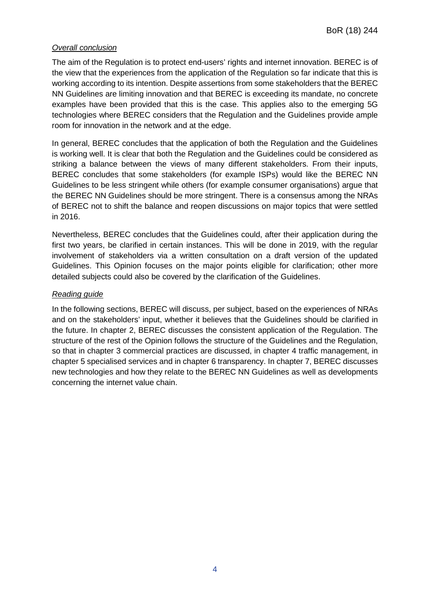#### *Overall conclusion*

The aim of the Regulation is to protect end-users' rights and internet innovation. BEREC is of the view that the experiences from the application of the Regulation so far indicate that this is working according to its intention. Despite assertions from some stakeholders that the BEREC NN Guidelines are limiting innovation and that BEREC is exceeding its mandate, no concrete examples have been provided that this is the case. This applies also to the emerging 5G technologies where BEREC considers that the Regulation and the Guidelines provide ample room for innovation in the network and at the edge.

In general, BEREC concludes that the application of both the Regulation and the Guidelines is working well. It is clear that both the Regulation and the Guidelines could be considered as striking a balance between the views of many different stakeholders. From their inputs, BEREC concludes that some stakeholders (for example ISPs) would like the BEREC NN Guidelines to be less stringent while others (for example consumer organisations) argue that the BEREC NN Guidelines should be more stringent. There is a consensus among the NRAs of BEREC not to shift the balance and reopen discussions on major topics that were settled in 2016.

Nevertheless, BEREC concludes that the Guidelines could, after their application during the first two years, be clarified in certain instances. This will be done in 2019, with the regular involvement of stakeholders via a written consultation on a draft version of the updated Guidelines. This Opinion focuses on the major points eligible for clarification; other more detailed subjects could also be covered by the clarification of the Guidelines.

#### *Reading guide*

In the following sections, BEREC will discuss, per subject, based on the experiences of NRAs and on the stakeholders' input, whether it believes that the Guidelines should be clarified in the future. In chapter 2, BEREC discusses the consistent application of the Regulation. The structure of the rest of the Opinion follows the structure of the Guidelines and the Regulation, so that in chapter 3 commercial practices are discussed, in chapter 4 traffic management, in chapter 5 specialised services and in chapter 6 transparency. In chapter 7, BEREC discusses new technologies and how they relate to the BEREC NN Guidelines as well as developments concerning the internet value chain.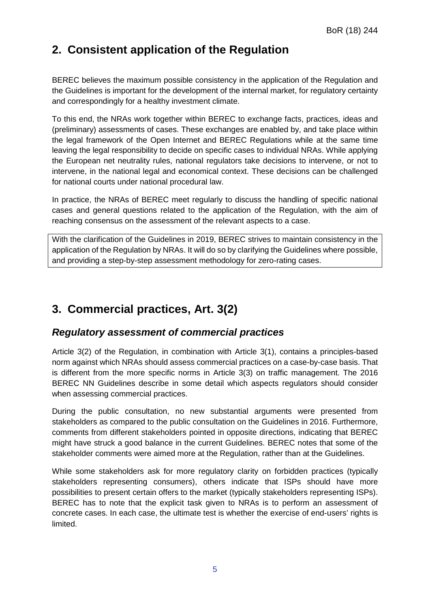# <span id="page-5-0"></span>**2. Consistent application of the Regulation**

BEREC believes the maximum possible consistency in the application of the Regulation and the Guidelines is important for the development of the internal market, for regulatory certainty and correspondingly for a healthy investment climate.

To this end, the NRAs work together within BEREC to exchange facts, practices, ideas and (preliminary) assessments of cases. These exchanges are enabled by, and take place within the legal framework of the Open Internet and BEREC Regulations while at the same time leaving the legal responsibility to decide on specific cases to individual NRAs. While applying the European net neutrality rules, national regulators take decisions to intervene, or not to intervene, in the national legal and economical context. These decisions can be challenged for national courts under national procedural law.

In practice, the NRAs of BEREC meet regularly to discuss the handling of specific national cases and general questions related to the application of the Regulation, with the aim of reaching consensus on the assessment of the relevant aspects to a case.

With the clarification of the Guidelines in 2019, BEREC strives to maintain consistency in the application of the Regulation by NRAs. It will do so by clarifying the Guidelines where possible, and providing a step-by-step assessment methodology for zero-rating cases.

# <span id="page-5-1"></span>**3. Commercial practices, Art. 3(2)**

### <span id="page-5-2"></span>*Regulatory assessment of commercial practices*

Article 3(2) of the Regulation, in combination with Article 3(1), contains a principles-based norm against which NRAs should assess commercial practices on a case-by-case basis. That is different from the more specific norms in Article 3(3) on traffic management. The 2016 BEREC NN Guidelines describe in some detail which aspects regulators should consider when assessing commercial practices.

During the public consultation, no new substantial arguments were presented from stakeholders as compared to the public consultation on the Guidelines in 2016. Furthermore, comments from different stakeholders pointed in opposite directions, indicating that BEREC might have struck a good balance in the current Guidelines. BEREC notes that some of the stakeholder comments were aimed more at the Regulation, rather than at the Guidelines.

While some stakeholders ask for more regulatory clarity on forbidden practices (typically stakeholders representing consumers), others indicate that ISPs should have more possibilities to present certain offers to the market (typically stakeholders representing ISPs). BEREC has to note that the explicit task given to NRAs is to perform an assessment of concrete cases. In each case, the ultimate test is whether the exercise of end-users' rights is limited.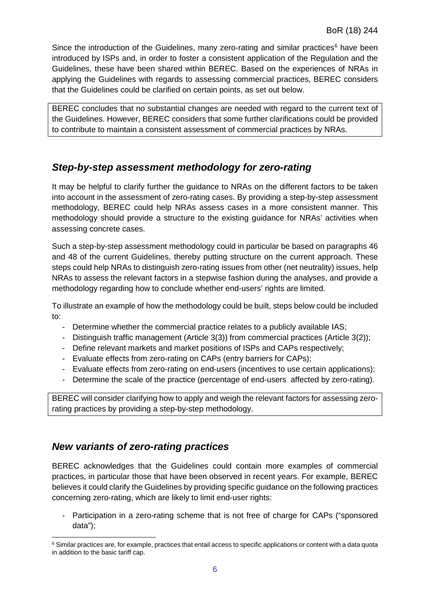Since the introduction of the Guidelines, many zero-rating and similar practices $<sup>6</sup>$  $<sup>6</sup>$  $<sup>6</sup>$  have been</sup> introduced by ISPs and, in order to foster a consistent application of the Regulation and the Guidelines, these have been shared within BEREC. Based on the experiences of NRAs in applying the Guidelines with regards to assessing commercial practices, BEREC considers that the Guidelines could be clarified on certain points, as set out below.

BEREC concludes that no substantial changes are needed with regard to the current text of the Guidelines. However, BEREC considers that some further clarifications could be provided to contribute to maintain a consistent assessment of commercial practices by NRAs.

#### <span id="page-6-0"></span>*Step-by-step assessment methodology for zero-rating*

It may be helpful to clarify further the guidance to NRAs on the different factors to be taken into account in the assessment of zero-rating cases. By providing a step-by-step assessment methodology, BEREC could help NRAs assess cases in a more consistent manner. This methodology should provide a structure to the existing guidance for NRAs' activities when assessing concrete cases.

Such a step-by-step assessment methodology could in particular be based on paragraphs 46 and 48 of the current Guidelines, thereby putting structure on the current approach. These steps could help NRAs to distinguish zero-rating issues from other (net neutrality) issues, help NRAs to assess the relevant factors in a stepwise fashion during the analyses, and provide a methodology regarding how to conclude whether end-users' rights are limited.

To illustrate an example of how the methodology could be built, steps below could be included to:

- Determine whether the commercial practice relates to a publicly available IAS;
- Distinguish traffic management (Article 3(3)) from commercial practices (Article 3(2));
- Define relevant markets and market positions of ISPs and CAPs respectively;
- Evaluate effects from zero-rating on CAPs (entry barriers for CAPs);
- Evaluate effects from zero-rating on end-users (incentives to use certain applications);
- Determine the scale of the practice (percentage of end-users affected by zero-rating).

BEREC will consider clarifying how to apply and weigh the relevant factors for assessing zerorating practices by providing a step-by-step methodology.

#### <span id="page-6-1"></span>*New variants of zero-rating practices*

BEREC acknowledges that the Guidelines could contain more examples of commercial practices, in particular those that have been observed in recent years. For example, BEREC believes it could clarify the Guidelines by providing specific guidance on the following practices concerning zero-rating, which are likely to limit end-user rights:

Participation in a zero-rating scheme that is not free of charge for CAPs ("sponsored data");

<span id="page-6-2"></span><sup>&</sup>lt;sup>6</sup> Similar practices are, for example, practices that entail access to specific applications or content with a data quota in addition to the basic tariff cap.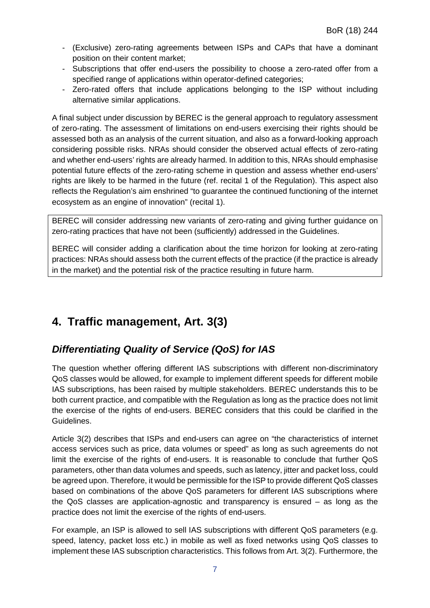- (Exclusive) zero-rating agreements between ISPs and CAPs that have a dominant position on their content market;
- Subscriptions that offer end-users the possibility to choose a zero-rated offer from a specified range of applications within operator-defined categories;
- Zero-rated offers that include applications belonging to the ISP without including alternative similar applications.

A final subject under discussion by BEREC is the general approach to regulatory assessment of zero-rating. The assessment of limitations on end-users exercising their rights should be assessed both as an analysis of the current situation, and also as a forward-looking approach considering possible risks. NRAs should consider the observed actual effects of zero-rating and whether end-users' rights are already harmed. In addition to this, NRAs should emphasise potential future effects of the zero-rating scheme in question and assess whether end-users' rights are likely to be harmed in the future (ref. recital 1 of the Regulation). This aspect also reflects the Regulation's aim enshrined "to guarantee the continued functioning of the internet ecosystem as an engine of innovation" (recital 1).

BEREC will consider addressing new variants of zero-rating and giving further guidance on zero-rating practices that have not been (sufficiently) addressed in the Guidelines.

BEREC will consider adding a clarification about the time horizon for looking at zero-rating practices: NRAs should assess both the current effects of the practice (if the practice is already in the market) and the potential risk of the practice resulting in future harm.

# <span id="page-7-0"></span>**4. Traffic management, Art. 3(3)**

### <span id="page-7-1"></span>*Differentiating Quality of Service (QoS) for IAS*

The question whether offering different IAS subscriptions with different non-discriminatory QoS classes would be allowed, for example to implement different speeds for different mobile IAS subscriptions, has been raised by multiple stakeholders. BEREC understands this to be both current practice, and compatible with the Regulation as long as the practice does not limit the exercise of the rights of end-users. BEREC considers that this could be clarified in the Guidelines.

Article 3(2) describes that ISPs and end-users can agree on "the characteristics of internet access services such as price, data volumes or speed" as long as such agreements do not limit the exercise of the rights of end-users. It is reasonable to conclude that further QoS parameters, other than data volumes and speeds, such as latency, jitter and packet loss, could be agreed upon. Therefore, it would be permissible for the ISP to provide different QoS classes based on combinations of the above QoS parameters for different IAS subscriptions where the QoS classes are application-agnostic and transparency is ensured – as long as the practice does not limit the exercise of the rights of end-users.

For example, an ISP is allowed to sell IAS subscriptions with different QoS parameters (e.g. speed, latency, packet loss etc.) in mobile as well as fixed networks using QoS classes to implement these IAS subscription characteristics. This follows from Art. 3(2). Furthermore, the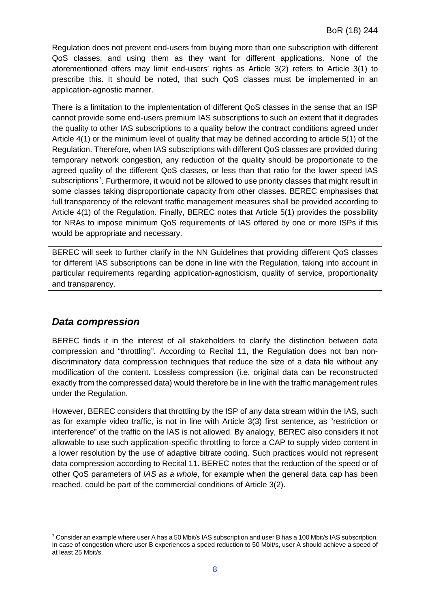Regulation does not prevent end-users from buying more than one subscription with different QoS classes, and using them as they want for different applications. None of the aforementioned offers may limit end-users' rights as Article 3(2) refers to Article 3(1) to prescribe this. It should be noted, that such QoS classes must be implemented in an application-agnostic manner.

There is a limitation to the implementation of different QoS classes in the sense that an ISP cannot provide some end-users premium IAS subscriptions to such an extent that it degrades the quality to other IAS subscriptions to a quality below the contract conditions agreed under Article 4(1) or the minimum level of quality that may be defined according to article 5(1) of the Regulation. Therefore, when IAS subscriptions with different QoS classes are provided during temporary network congestion, any reduction of the quality should be proportionate to the agreed quality of the different QoS classes, or less than that ratio for the lower speed IAS subscriptions<sup>[7](#page-8-1)</sup>. Furthermore, it would not be allowed to use priority classes that might result in some classes taking disproportionate capacity from other classes. BEREC emphasises that full transparency of the relevant traffic management measures shall be provided according to Article 4(1) of the Regulation. Finally, BEREC notes that Article 5(1) provides the possibility for NRAs to impose minimum QoS requirements of IAS offered by one or more ISPs if this would be appropriate and necessary.

BEREC will seek to further clarify in the NN Guidelines that providing different QoS classes for different IAS subscriptions can be done in line with the Regulation, taking into account in particular requirements regarding application-agnosticism, quality of service, proportionality and transparency.

#### <span id="page-8-0"></span>*Data compression*

BEREC finds it in the interest of all stakeholders to clarify the distinction between data compression and "throttling". According to Recital 11, the Regulation does not ban nondiscriminatory data compression techniques that reduce the size of a data file without any modification of the content. Lossless compression (i.e. original data can be reconstructed exactly from the compressed data) would therefore be in line with the traffic management rules under the Regulation.

However, BEREC considers that throttling by the ISP of any data stream within the IAS, such as for example video traffic, is not in line with Article 3(3) first sentence, as "restriction or interference" of the traffic on the IAS is not allowed. By analogy, BEREC also considers it not allowable to use such application-specific throttling to force a CAP to supply video content in a lower resolution by the use of adaptive bitrate coding. Such practices would not represent data compression according to Recital 11. BEREC notes that the reduction of the speed or of other QoS parameters of *IAS as a whole*, for example when the general data cap has been reached, could be part of the commercial conditions of Article 3(2).

<span id="page-8-1"></span> <sup>7</sup> Consider an example where user A has a 50 Mbit/s IAS subscription and user B has a 100 Mbit/s IAS subscription. In case of congestion where user B experiences a speed reduction to 50 Mbit/s, user A should achieve a speed of at least 25 Mbit/s.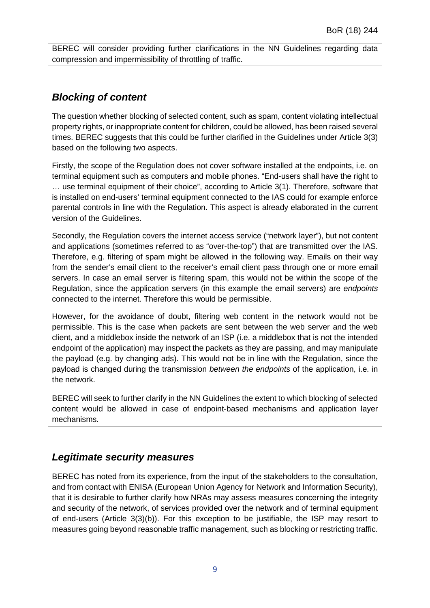BEREC will consider providing further clarifications in the NN Guidelines regarding data compression and impermissibility of throttling of traffic.

#### <span id="page-9-0"></span>*Blocking of content*

The question whether blocking of selected content, such as spam, content violating intellectual property rights, or inappropriate content for children, could be allowed, has been raised several times. BEREC suggests that this could be further clarified in the Guidelines under Article 3(3) based on the following two aspects.

Firstly, the scope of the Regulation does not cover software installed at the endpoints, i.e. on terminal equipment such as computers and mobile phones. "End-users shall have the right to … use terminal equipment of their choice", according to Article 3(1). Therefore, software that is installed on end-users' terminal equipment connected to the IAS could for example enforce parental controls in line with the Regulation. This aspect is already elaborated in the current version of the Guidelines.

Secondly, the Regulation covers the internet access service ("network layer"), but not content and applications (sometimes referred to as "over-the-top") that are transmitted over the IAS. Therefore, e.g. filtering of spam might be allowed in the following way. Emails on their way from the sender's email client to the receiver's email client pass through one or more email servers. In case an email server is filtering spam, this would not be within the scope of the Regulation, since the application servers (in this example the email servers) are *endpoints* connected to the internet. Therefore this would be permissible.

However, for the avoidance of doubt, filtering web content in the network would not be permissible. This is the case when packets are sent between the web server and the web client, and a middlebox inside the network of an ISP (i.e. a middlebox that is not the intended endpoint of the application) may inspect the packets as they are passing, and may manipulate the payload (e.g. by changing ads). This would not be in line with the Regulation, since the payload is changed during the transmission *between the endpoints* of the application, i.e. in the network.

BEREC will seek to further clarify in the NN Guidelines the extent to which blocking of selected content would be allowed in case of endpoint-based mechanisms and application layer mechanisms.

#### <span id="page-9-1"></span>*Legitimate security measures*

BEREC has noted from its experience, from the input of the stakeholders to the consultation, and from contact with ENISA (European Union Agency for Network and Information Security), that it is desirable to further clarify how NRAs may assess measures concerning the integrity and security of the network, of services provided over the network and of terminal equipment of end-users (Article 3(3)(b)). For this exception to be justifiable, the ISP may resort to measures going beyond reasonable traffic management, such as blocking or restricting traffic.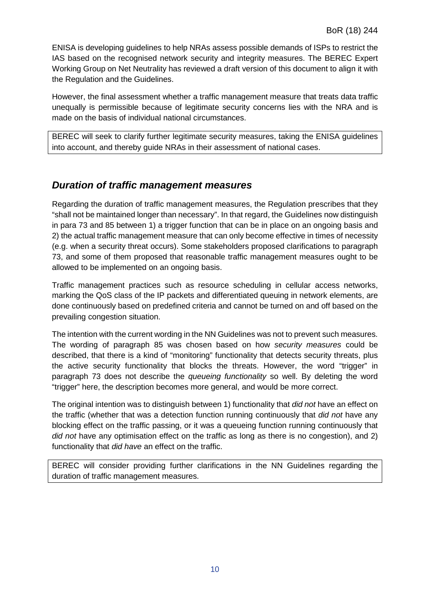ENISA is developing guidelines to help NRAs assess possible demands of ISPs to restrict the IAS based on the recognised network security and integrity measures. The BEREC Expert Working Group on Net Neutrality has reviewed a draft version of this document to align it with the Regulation and the Guidelines.

However, the final assessment whether a traffic management measure that treats data traffic unequally is permissible because of legitimate security concerns lies with the NRA and is made on the basis of individual national circumstances.

BEREC will seek to clarify further legitimate security measures, taking the ENISA guidelines into account, and thereby guide NRAs in their assessment of national cases.

#### <span id="page-10-0"></span>*Duration of traffic management measures*

Regarding the duration of traffic management measures, the Regulation prescribes that they "shall not be maintained longer than necessary". In that regard, the Guidelines now distinguish in para 73 and 85 between 1) a trigger function that can be in place on an ongoing basis and 2) the actual traffic management measure that can only become effective in times of necessity (e.g. when a security threat occurs). Some stakeholders proposed clarifications to paragraph 73, and some of them proposed that reasonable traffic management measures ought to be allowed to be implemented on an ongoing basis.

Traffic management practices such as resource scheduling in cellular access networks, marking the QoS class of the IP packets and differentiated queuing in network elements, are done continuously based on predefined criteria and cannot be turned on and off based on the prevailing congestion situation.

The intention with the current wording in the NN Guidelines was not to prevent such measures. The wording of paragraph 85 was chosen based on how *security measures* could be described, that there is a kind of "monitoring" functionality that detects security threats, plus the active security functionality that blocks the threats. However, the word "trigger" in paragraph 73 does not describe the *queueing functionality* so well. By deleting the word "trigger" here, the description becomes more general, and would be more correct.

The original intention was to distinguish between 1) functionality that *did not* have an effect on the traffic (whether that was a detection function running continuously that *did not* have any blocking effect on the traffic passing, or it was a queueing function running continuously that *did not* have any optimisation effect on the traffic as long as there is no congestion), and 2) functionality that *did have* an effect on the traffic.

BEREC will consider providing further clarifications in the NN Guidelines regarding the duration of traffic management measures.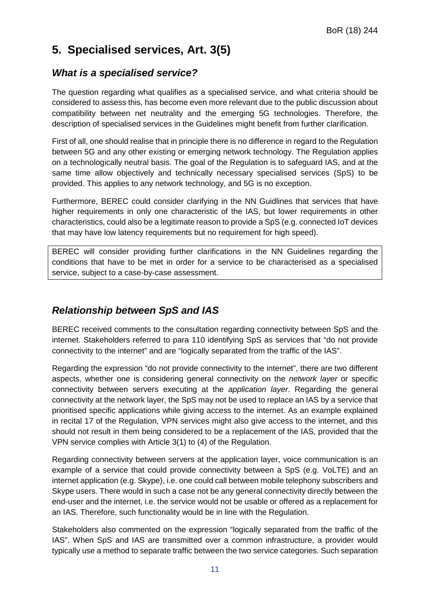# <span id="page-11-0"></span>**5. Specialised services, Art. 3(5)**

### <span id="page-11-1"></span>*What is a specialised service?*

The question regarding what qualifies as a specialised service, and what criteria should be considered to assess this, has become even more relevant due to the public discussion about compatibility between net neutrality and the emerging 5G technologies. Therefore, the description of specialised services in the Guidelines might benefit from further clarification.

First of all, one should realise that in principle there is no difference in regard to the Regulation between 5G and any other existing or emerging network technology. The Regulation applies on a technologically neutral basis. The goal of the Regulation is to safeguard IAS, and at the same time allow objectively and technically necessary specialised services (SpS) to be provided. This applies to any network technology, and 5G is no exception.

Furthermore, BEREC could consider clarifying in the NN Guidlines that services that have higher requirements in only one characteristic of the IAS, but lower requirements in other characteristics, could also be a legitimate reason to provide a SpS (e.g. connected IoT devices that may have low latency requirements but no requirement for high speed).

BEREC will consider providing further clarifications in the NN Guidelines regarding the conditions that have to be met in order for a service to be characterised as a specialised service, subject to a case-by-case assessment.

## <span id="page-11-2"></span>*Relationship between SpS and IAS*

BEREC received comments to the consultation regarding connectivity between SpS and the internet. Stakeholders referred to para 110 identifying SpS as services that "do not provide connectivity to the internet" and are "logically separated from the traffic of the IAS".

Regarding the expression "do not provide connectivity to the internet", there are two different aspects, whether one is considering general connectivity on the *network layer* or specific connectivity between servers executing at the *application layer*. Regarding the general connectivity at the network layer, the SpS may not be used to replace an IAS by a service that prioritised specific applications while giving access to the internet. As an example explained in recital 17 of the Regulation, VPN services might also give access to the internet, and this should not result in them being considered to be a replacement of the IAS, provided that the VPN service complies with Article 3(1) to (4) of the Regulation.

Regarding connectivity between servers at the application layer, voice communication is an example of a service that could provide connectivity between a SpS (e.g. VoLTE) and an internet application (e.g. Skype), i.e. one could call between mobile telephony subscribers and Skype users. There would in such a case not be any general connectivity directly between the end-user and the internet, i.e. the service would not be usable or offered as a replacement for an IAS. Therefore, such functionality would be in line with the Regulation.

Stakeholders also commented on the expression "logically separated from the traffic of the IAS". When SpS and IAS are transmitted over a common infrastructure, a provider would typically use a method to separate traffic between the two service categories. Such separation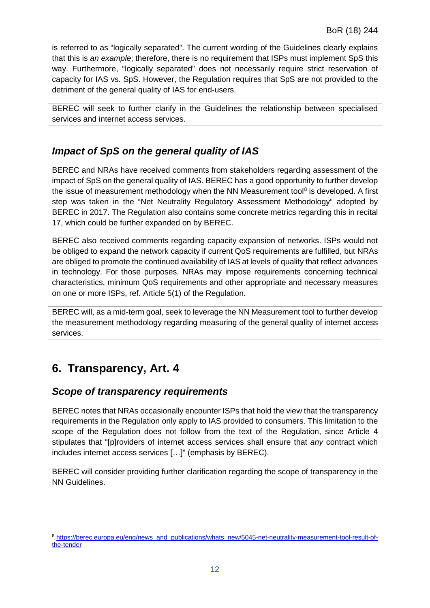is referred to as "logically separated". The current wording of the Guidelines clearly explains that this is *an example*; therefore, there is no requirement that ISPs must implement SpS this way. Furthermore, "logically separated" does not necessarily require strict reservation of capacity for IAS vs. SpS. However, the Regulation requires that SpS are not provided to the detriment of the general quality of IAS for end-users.

BEREC will seek to further clarify in the Guidelines the relationship between specialised services and internet access services.

### <span id="page-12-0"></span>*Impact of SpS on the general quality of IAS*

BEREC and NRAs have received comments from stakeholders regarding assessment of the impact of SpS on the general quality of IAS. BEREC has a good opportunity to further develop the issue of measurement methodology when the NN Measurement tool<sup>[8](#page-12-3)</sup> is developed. A first step was taken in the "Net Neutrality Regulatory Assessment Methodology" adopted by BEREC in 2017. The Regulation also contains some concrete metrics regarding this in recital 17, which could be further expanded on by BEREC.

BEREC also received comments regarding capacity expansion of networks. ISPs would not be obliged to expand the network capacity if current QoS requirements are fulfilled, but NRAs are obliged to promote the continued availability of IAS at levels of quality that reflect advances in technology. For those purposes, NRAs may impose requirements concerning technical characteristics, minimum QoS requirements and other appropriate and necessary measures on one or more ISPs, ref. Article 5(1) of the Regulation.

BEREC will, as a mid-term goal, seek to leverage the NN Measurement tool to further develop the measurement methodology regarding measuring of the general quality of internet access services.

# <span id="page-12-1"></span>**6. Transparency, Art. 4**

#### <span id="page-12-2"></span>*Scope of transparency requirements*

BEREC notes that NRAs occasionally encounter ISPs that hold the view that the transparency requirements in the Regulation only apply to IAS provided to consumers. This limitation to the scope of the Regulation does not follow from the text of the Regulation, since Article 4 stipulates that "[p]roviders of internet access services shall ensure that *any* contract which includes internet access services […]" (emphasis by BEREC).

BEREC will consider providing further clarification regarding the scope of transparency in the NN Guidelines.

<span id="page-12-3"></span> <sup>8</sup> [https://berec.europa.eu/eng/news\\_and\\_publications/whats\\_new/5045-net-neutrality-measurement-tool-result-of](https://berec.europa.eu/eng/news_and_publications/whats_new/5045-net-neutrality-measurement-tool-result-of-the-tender)[the-tender](https://berec.europa.eu/eng/news_and_publications/whats_new/5045-net-neutrality-measurement-tool-result-of-the-tender)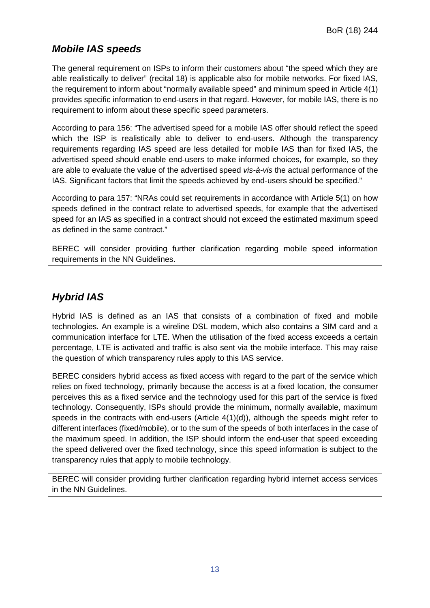### <span id="page-13-0"></span>*Mobile IAS speeds*

The general requirement on ISPs to inform their customers about "the speed which they are able realistically to deliver" (recital 18) is applicable also for mobile networks. For fixed IAS, the requirement to inform about "normally available speed" and minimum speed in Article 4(1) provides specific information to end-users in that regard. However, for mobile IAS, there is no requirement to inform about these specific speed parameters.

According to para 156: "The advertised speed for a mobile IAS offer should reflect the speed which the ISP is realistically able to deliver to end-users. Although the transparency requirements regarding IAS speed are less detailed for mobile IAS than for fixed IAS, the advertised speed should enable end-users to make informed choices, for example, so they are able to evaluate the value of the advertised speed *vis-à-vis* the actual performance of the IAS. Significant factors that limit the speeds achieved by end-users should be specified."

According to para 157: "NRAs could set requirements in accordance with Article 5(1) on how speeds defined in the contract relate to advertised speeds, for example that the advertised speed for an IAS as specified in a contract should not exceed the estimated maximum speed as defined in the same contract."

BEREC will consider providing further clarification regarding mobile speed information requirements in the NN Guidelines.

### <span id="page-13-1"></span>*Hybrid IAS*

Hybrid IAS is defined as an IAS that consists of a combination of fixed and mobile technologies. An example is a wireline DSL modem, which also contains a SIM card and a communication interface for LTE. When the utilisation of the fixed access exceeds a certain percentage, LTE is activated and traffic is also sent via the mobile interface. This may raise the question of which transparency rules apply to this IAS service.

BEREC considers hybrid access as fixed access with regard to the part of the service which relies on fixed technology, primarily because the access is at a fixed location, the consumer perceives this as a fixed service and the technology used for this part of the service is fixed technology. Consequently, ISPs should provide the minimum, normally available, maximum speeds in the contracts with end-users (Article 4(1)(d)), although the speeds might refer to different interfaces (fixed/mobile), or to the sum of the speeds of both interfaces in the case of the maximum speed. In addition, the ISP should inform the end-user that speed exceeding the speed delivered over the fixed technology, since this speed information is subject to the transparency rules that apply to mobile technology.

BEREC will consider providing further clarification regarding hybrid internet access services in the NN Guidelines.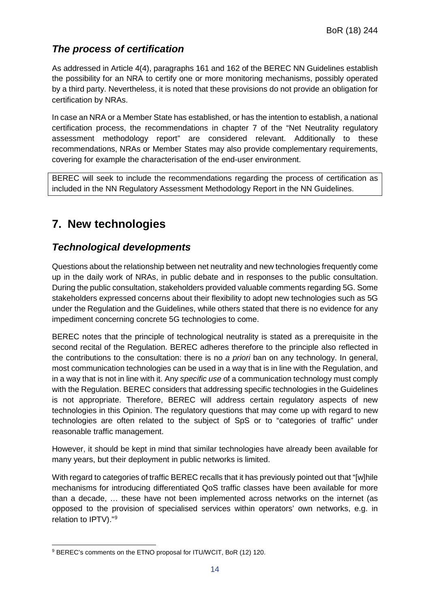### <span id="page-14-0"></span>*The process of certification*

As addressed in Article 4(4), paragraphs 161 and 162 of the BEREC NN Guidelines establish the possibility for an NRA to certify one or more monitoring mechanisms, possibly operated by a third party. Nevertheless, it is noted that these provisions do not provide an obligation for certification by NRAs.

In case an NRA or a Member State has established, or has the intention to establish, a national certification process, the recommendations in chapter 7 of the "Net Neutrality regulatory assessment methodology report" are considered relevant. Additionally to these recommendations, NRAs or Member States may also provide complementary requirements, covering for example the characterisation of the end-user environment.

BEREC will seek to include the recommendations regarding the process of certification as included in the NN Regulatory Assessment Methodology Report in the NN Guidelines.

# <span id="page-14-1"></span>**7. New technologies**

### <span id="page-14-2"></span>*Technological developments*

Questions about the relationship between net neutrality and new technologies frequently come up in the daily work of NRAs, in public debate and in responses to the public consultation. During the public consultation, stakeholders provided valuable comments regarding 5G. Some stakeholders expressed concerns about their flexibility to adopt new technologies such as 5G under the Regulation and the Guidelines, while others stated that there is no evidence for any impediment concerning concrete 5G technologies to come.

BEREC notes that the principle of technological neutrality is stated as a prerequisite in the second recital of the Regulation. BEREC adheres therefore to the principle also reflected in the contributions to the consultation: there is no *a priori* ban on any technology. In general, most communication technologies can be used in a way that is in line with the Regulation, and in a way that is not in line with it. Any *specific use* of a communication technology must comply with the Regulation. BEREC considers that addressing specific technologies in the Guidelines is not appropriate. Therefore, BEREC will address certain regulatory aspects of new technologies in this Opinion. The regulatory questions that may come up with regard to new technologies are often related to the subject of SpS or to "categories of traffic" under reasonable traffic management.

However, it should be kept in mind that similar technologies have already been available for many years, but their deployment in public networks is limited.

With regard to categories of traffic BEREC recalls that it has previously pointed out that "[w]hile mechanisms for introducing differentiated QoS traffic classes have been available for more than a decade, … these have not been implemented across networks on the internet (as opposed to the provision of specialised services within operators' own networks, e.g. in relation to IPTV)."[9](#page-14-3)

<span id="page-14-3"></span> <sup>9</sup> BEREC's comments on the ETNO proposal for ITU/WCIT, BoR (12) 120.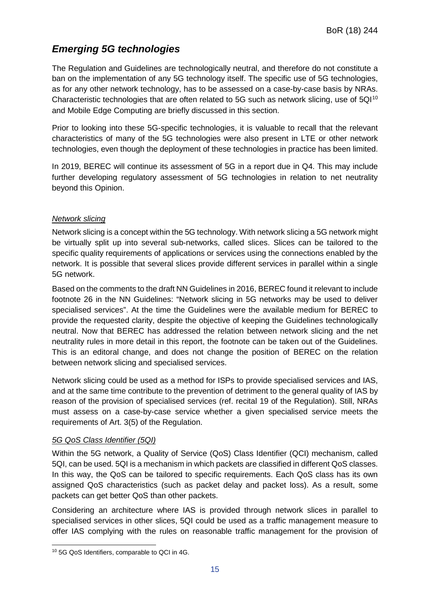### <span id="page-15-0"></span>*Emerging 5G technologies*

The Regulation and Guidelines are technologically neutral, and therefore do not constitute a ban on the implementation of any 5G technology itself. The specific use of 5G technologies, as for any other network technology, has to be assessed on a case-by-case basis by NRAs. Characteristic technologies that are often related to 5G such as network slicing, use of 5QI<sup>[10](#page-15-1)</sup> and Mobile Edge Computing are briefly discussed in this section.

Prior to looking into these 5G-specific technologies, it is valuable to recall that the relevant characteristics of many of the 5G technologies were also present in LTE or other network technologies, even though the deployment of these technologies in practice has been limited.

In 2019, BEREC will continue its assessment of 5G in a report due in Q4. This may include further developing regulatory assessment of 5G technologies in relation to net neutrality beyond this Opinion.

#### *Network slicing*

Network slicing is a concept within the 5G technology. With network slicing a 5G network might be virtually split up into several sub-networks, called slices. Slices can be tailored to the specific quality requirements of applications or services using the connections enabled by the network. It is possible that several slices provide different services in parallel within a single 5G network.

Based on the comments to the draft NN Guidelines in 2016, BEREC found it relevant to include footnote 26 in the NN Guidelines: "Network slicing in 5G networks may be used to deliver specialised services". At the time the Guidelines were the available medium for BEREC to provide the requested clarity, despite the objective of keeping the Guidelines technologically neutral. Now that BEREC has addressed the relation between network slicing and the net neutrality rules in more detail in this report, the footnote can be taken out of the Guidelines. This is an editoral change, and does not change the position of BEREC on the relation between network slicing and specialised services.

Network slicing could be used as a method for ISPs to provide specialised services and IAS, and at the same time contribute to the prevention of detriment to the general quality of IAS by reason of the provision of specialised services (ref. recital 19 of the Regulation). Still, NRAs must assess on a case-by-case service whether a given specialised service meets the requirements of Art. 3(5) of the Regulation.

#### *5G QoS Class Identifier (5QI)*

Within the 5G network, a Quality of Service (QoS) Class Identifier (QCI) mechanism, called 5QI, can be used. 5QI is a mechanism in which packets are classified in different QoS classes. In this way, the QoS can be tailored to specific requirements. Each QoS class has its own assigned QoS characteristics (such as packet delay and packet loss). As a result, some packets can get better QoS than other packets.

Considering an architecture where IAS is provided through network slices in parallel to specialised services in other slices, 5QI could be used as a traffic management measure to offer IAS complying with the rules on reasonable traffic management for the provision of

<span id="page-15-1"></span> <sup>10</sup> 5G QoS Identifiers, comparable to QCI in 4G.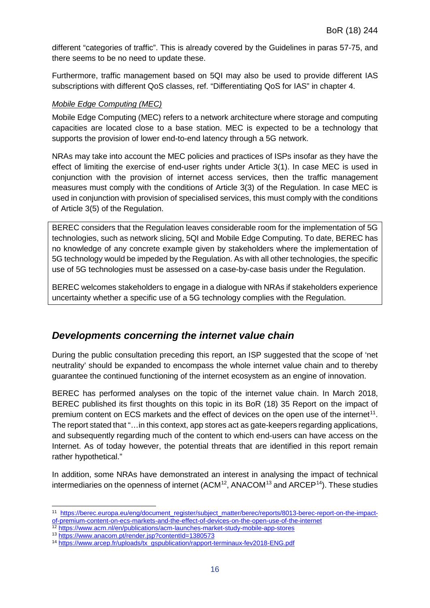different "categories of traffic". This is already covered by the Guidelines in paras 57-75, and there seems to be no need to update these.

Furthermore, traffic management based on 5QI may also be used to provide different IAS subscriptions with different QoS classes, ref. "Differentiating QoS for IAS" in chapter 4.

#### *Mobile Edge Computing (MEC)*

Mobile Edge Computing (MEC) refers to a network architecture where storage and computing capacities are located close to a base station. MEC is expected to be a technology that supports the provision of lower end-to-end latency through a 5G network.

NRAs may take into account the MEC policies and practices of ISPs insofar as they have the effect of limiting the exercise of end-user rights under Article 3(1). In case MEC is used in conjunction with the provision of internet access services, then the traffic management measures must comply with the conditions of Article 3(3) of the Regulation. In case MEC is used in conjunction with provision of specialised services, this must comply with the conditions of Article 3(5) of the Regulation.

BEREC considers that the Regulation leaves considerable room for the implementation of 5G technologies, such as network slicing, 5QI and Mobile Edge Computing. To date, BEREC has no knowledge of any concrete example given by stakeholders where the implementation of 5G technology would be impeded by the Regulation. As with all other technologies, the specific use of 5G technologies must be assessed on a case-by-case basis under the Regulation.

BEREC welcomes stakeholders to engage in a dialogue with NRAs if stakeholders experience uncertainty whether a specific use of a 5G technology complies with the Regulation.

#### <span id="page-16-0"></span>*Developments concerning the internet value chain*

During the public consultation preceding this report, an ISP suggested that the scope of 'net neutrality' should be expanded to encompass the whole internet value chain and to thereby guarantee the continued functioning of the internet ecosystem as an engine of innovation.

BEREC has performed analyses on the topic of the internet value chain. In March 2018, BEREC published its first thoughts on this topic in its BoR (18) 35 Report on the impact of premium content on ECS markets and the effect of devices on the open use of the internet<sup>[11](#page-16-1)</sup>. The report stated that "…in this context, app stores act as gate-keepers regarding applications, and subsequently regarding much of the content to which end-users can have access on the Internet. As of today however, the potential threats that are identified in this report remain rather hypothetical."

In addition, some NRAs have demonstrated an interest in analysing the impact of technical intermediaries on the openness of internet (ACM<sup>[12](#page-16-2)</sup>, ANACOM<sup>[13](#page-16-3)</sup> and ARCEP<sup>14</sup>). These studies

<span id="page-16-1"></span><sup>&</sup>lt;sup>11</sup> [https://berec.europa.eu/eng/document\\_register/subject\\_matter/berec/reports/8013-berec-report-on-the-impact](https://berec.europa.eu/eng/document_register/subject_matter/berec/reports/8013-berec-report-on-the-impact-of-premium-content-on-ecs-markets-and-the-effect-of-devices-on-the-open-use-of-the-internet)[of-premium-content-on-ecs-markets-and-the-effect-of-devices-on-the-open-use-of-the-internet](https://berec.europa.eu/eng/document_register/subject_matter/berec/reports/8013-berec-report-on-the-impact-of-premium-content-on-ecs-markets-and-the-effect-of-devices-on-the-open-use-of-the-internet)

<span id="page-16-2"></span><sup>12</sup> <https://www.acm.nl/en/publications/acm-launches-market-study-mobile-app-stores>

<sup>13</sup> <https://www.anacom.pt/render.jsp?contentId=1380573>

<span id="page-16-4"></span><span id="page-16-3"></span><sup>14</sup> [https://www.arcep.fr/uploads/tx\\_gspublication/rapport-terminaux-fev2018-ENG.pdf](https://www.arcep.fr/uploads/tx_gspublication/rapport-terminaux-fev2018-ENG.pdf)